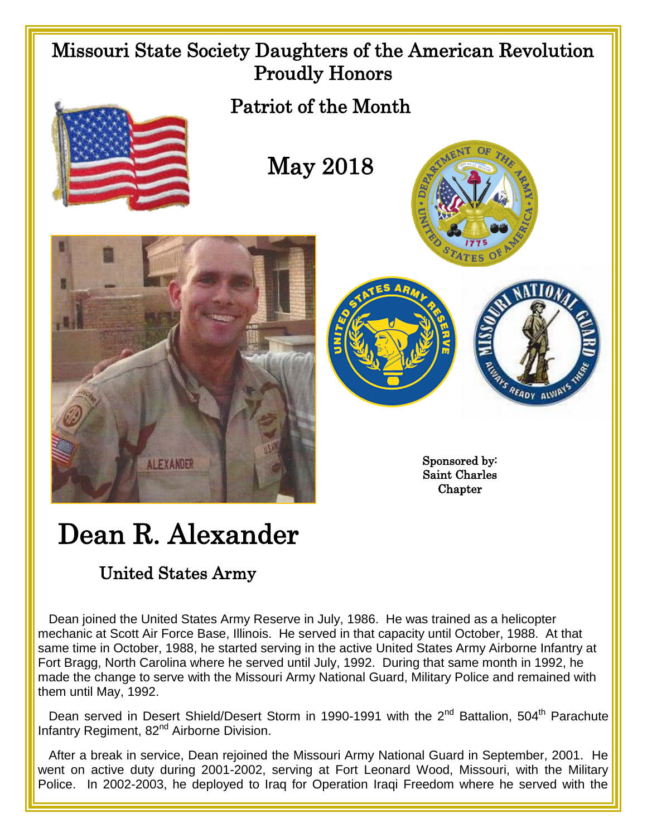

## Dean R. Alexander

## United States Army

 Dean joined the United States Army Reserve in July, 1986. He was trained as a helicopter mechanic at Scott Air Force Base, Illinois. He served in that capacity until October, 1988. At that same time in October, 1988, he started serving in the active United States Army Airborne Infantry at Fort Bragg, North Carolina where he served until July, 1992. During that same month in 1992, he made the change to serve with the Missouri Army National Guard, Military Police and remained with them until May, 1992.

Dean served in Desert Shield/Desert Storm in 1990-1991 with the 2<sup>nd</sup> Battalion, 504<sup>th</sup> Parachute Infantry Regiment, 82<sup>nd</sup> Airborne Division.

 After a break in service, Dean rejoined the Missouri Army National Guard in September, 2001. He went on active duty during 2001-2002, serving at Fort Leonard Wood, Missouri, with the Military Police. In 2002-2003, he deployed to Iraq for Operation Iraqi Freedom where he served with the